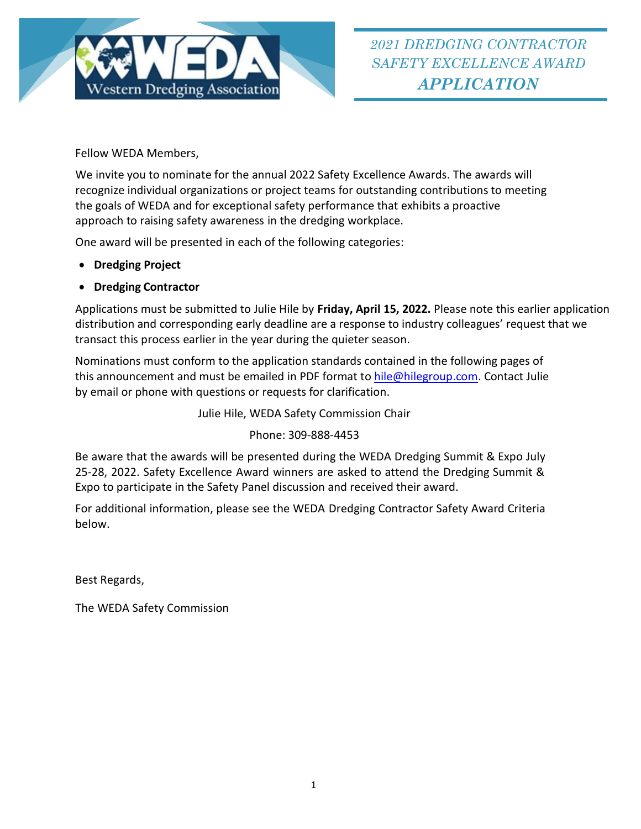

Fellow WEDA Members,

We invite you to nominate for the annual 2022 Safety Excellence Awards. The awards will recognize individual organizations or project teams for outstanding contributions to meeting the goals of WEDA and for exceptional safety performance that exhibits a proactive approach to raising safety awareness in the dredging workplace.

One award will be presented in each of the following categories:

- **Dredging Project**
- **Dredging Contractor**

Applications must be submitted to Julie Hile by **Friday, April 15, 2022.** Please note this earlier application distribution and corresponding early deadline are a response to industry colleagues' request that we transact this process earlier in the year during the quieter season.

Nominations must conform to the application standards contained in the following pages of this announcement and must be emailed in PDF format to [hile@hilegroup.com.](mailto:hile@hilegroup.com) Contact Julie by email or phone with questions or requests for clarification.

Julie Hile, WEDA Safety Commission Chair

Phone: 309-888-4453

Be aware that the awards will be presented during the WEDA Dredging Summit & Expo July 25-28, 2022. Safety Excellence Award winners are asked to attend the Dredging Summit & Expo to participate in the Safety Panel discussion and received their award.

For additional information, please see the WEDA Dredging Contractor Safety Award Criteria below.

Best Regards,

The WEDA Safety Commission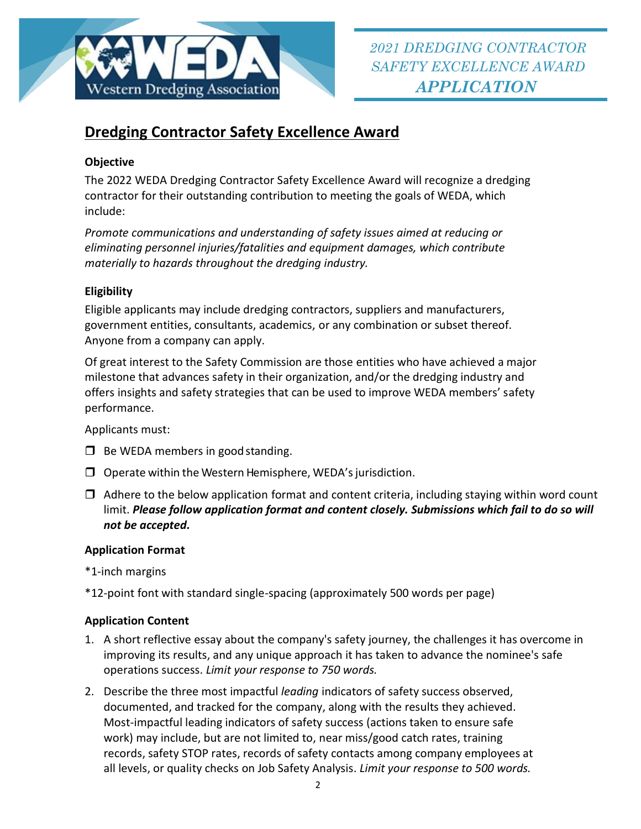

# **Dredging Contractor Safety Excellence Award**

### **Objective**

The 2022 WEDA Dredging Contractor Safety Excellence Award will recognize a dredging contractor for their outstanding contribution to meeting the goals of WEDA, which include:

*Promote communications and understanding of safety issues aimed at reducing or eliminating personnel injuries/fatalities and equipment damages, which contribute materially to hazards throughout the dredging industry.*

## **Eligibility**

Eligible applicants may include dredging contractors, suppliers and manufacturers, government entities, consultants, academics, or any combination or subset thereof. Anyone from a company can apply.

Of great interest to the Safety Commission are those entities who have achieved a major milestone that advances safety in their organization, and/or the dredging industry and offers insights and safety strategies that can be used to improve WEDA members' safety performance.

Applicants must:

- $\Box$  Be WEDA members in good standing.
- $\Box$  Operate within the Western Hemisphere, WEDA's jurisdiction.
- $\Box$  Adhere to the below application format and content criteria, including staying within word count limit. *Please follow application format and content closely. Submissions which fail to do so will not be accepted.*

#### **Application Format**

\*1-inch margins

\*12-point font with standard single-spacing (approximately 500 words per page)

#### **Application Content**

- 1. A short reflective essay about the company's safety journey, the challenges it has overcome in improving its results, and any unique approach it has taken to advance the nominee's safe operations success. *Limit your response to 750 words.*
- 2. Describe the three most impactful *leading* indicators of safety success observed, documented, and tracked for the company, along with the results they achieved. Most-impactful leading indicators of safety success (actions taken to ensure safe work) may include, but are not limited to, near miss/good catch rates, training records, safety STOP rates, records of safety contacts among company employees at all levels, or quality checks on Job Safety Analysis. *Limit your response to 500 words.*